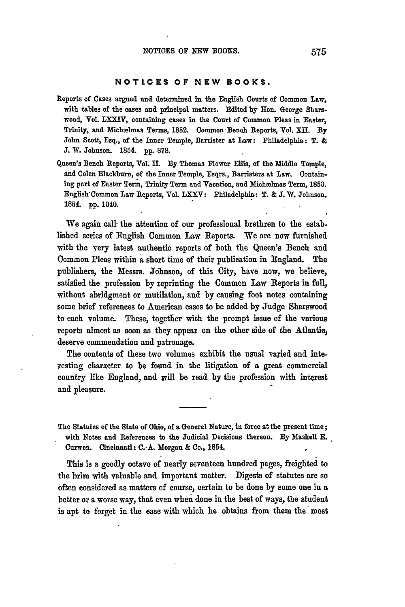## **NOTICES OF NEW BOOKS.**

- Reports of Cases argued and determined in the English Courts of Common Law, with tables of the cases and principal matters. Edited **by** Hon. George Sharswood, Vol. LXXIV, containing cases in the Court of Common Pleas in Easter, Trinity, and Michwlmas **Terms, 1852.** Common' Bench Reports, Vol. **XII. By** John Scott, Esq., of the Inner Temple, Barrister at Law: Philadelphia: T. **& T.** W. Johnson. 1854. **pp. 878.**
- **Queen's** Bench Reports, Vol. II. **By** Thomas Flower Ellis, of the Middle Temple, and Colen Blackburn, of the Inner Temple, Esqrs., Barristers at Law. Containing part of Easter Term, Trinity Term and Vacation, and Michaelmas Term, **1853.** English Common Law Reports, Vol. LXXV: Philadelphia: T. & J. W. Johnson. 1854. **pp.** 1040.

We again call- the attention of our professional brethren to the established series of English Common Law Reports. We are now furnished with the very latest authentic reports of both the Queen's Bench and Common Pleas within a short time of their publication in England. The publishers, the Messrs. Johnson, of this City, have now, we believe, satisfied the profession by reprinting the Common Law Reports in full, without abridgment or mutilation, and **by** causing foot notes containing some brief references to American cases to be added by Judge Sharswood to each volume. These, together with the prompt issue of the various reports almost as soon as they appear on the other side of the Atlantic, deserve commendation and patronage.

The contents of these two volumes exhibit the usual varied **and** interesting character to be found in the litigation of a great commercial country like England, and *will* be read **by** the profession with interest and pleasure.

The Statutes of the State of Ohio, of **a** General Nature, in force at the present time; with Notes and References to the Judicial Decisions thereon. **By** Maskell **E.** Curwen. Cincinnati: **C.-A.** Morgan **&** Co., 1854.

This is a goodly octavo of nearly seventeen hundred pages, freighted **to** the brim with valuable and important matter. Digests of statutes are so often considered as matters of course, certain to be done **by** some one in a better or a worse way, that even when done in the best of ways, the student is apt to forget in the ease with which he obtains from them the most